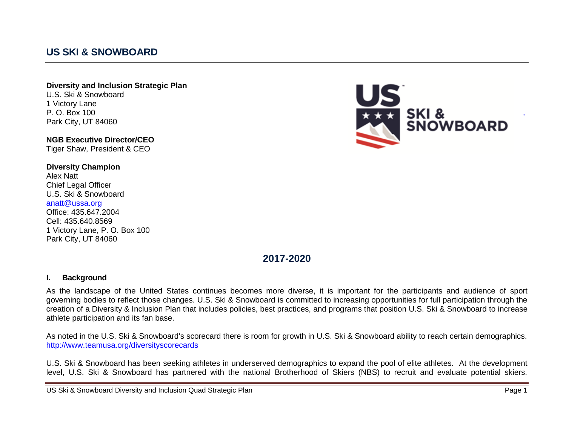# **US SKI & SNOWBOARD**

#### **Diversity and Inclusion Strategic Plan** U.S. Ski & Snowboard 1 Victory Lane P. O. Box 100 Park City, UT 84060

**NGB Executive Director/CEO** Tiger Shaw, President & CEO

**Diversity Champion** Alex Natt Chief Legal Officer U.S. Ski & Snowboard [anatt@ussa.org](mailto:anatt@ussa.org) Office: 435.647.2004 Cell: 435.640.8569 1 Victory Lane, P. O. Box 100 Park City, UT 84060



## **2017-2020**

#### **I. Background**

As the landscape of the United States continues becomes more diverse, it is important for the participants and audience of sport governing bodies to reflect those changes. U.S. Ski & Snowboard is committed to increasing opportunities for full participation through the creation of a Diversity & Inclusion Plan that includes policies, best practices, and programs that position U.S. Ski & Snowboard to increase athlete participation and its fan base.

As noted in the U.S. Ski & Snowboard's scorecard there is room for growth in U.S. Ski & Snowboard ability to reach certain demographics. <http://www.teamusa.org/diversityscorecards>

U.S. Ski & Snowboard has been seeking athletes in underserved demographics to expand the pool of elite athletes. At the development level, U.S. Ski & Snowboard has partnered with the national Brotherhood of Skiers (NBS) to recruit and evaluate potential skiers.

US Ski & Snowboard Diversity and Inclusion Quad Strategic Plan Page 1 and Page 1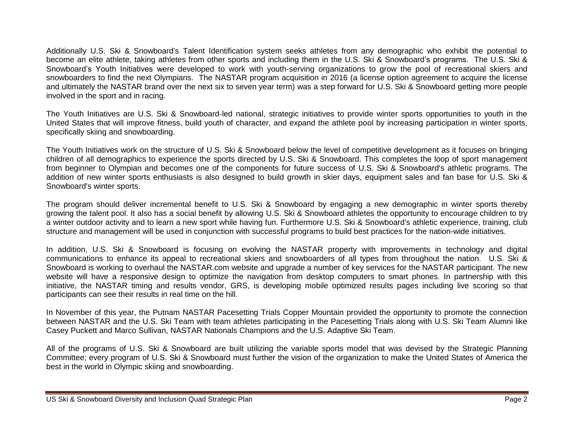Additionally U.S. Ski & Snowboard's Talent Identification system seeks athletes from any demographic who exhibit the potential to become an elite athlete, taking athletes from other sports and including them in the U.S. Ski & Snowboard's programs. The U.S. Ski & Snowboard's Youth Initiatives were developed to work with youth-serving organizations to grow the pool of recreational skiers and snowboarders to find the next Olympians. The NASTAR program acquisition in 2016 (a license option agreement to acquire the license and ultimately the NASTAR brand over the next six to seven year term) was a step forward for U.S. Ski & Snowboard getting more people involved in the sport and in racing.

The Youth Initiatives are U.S. Ski & Snowboard-led national, strategic initiatives to provide winter sports opportunities to youth in the United States that will improve fitness, build youth of character, and expand the athlete pool by increasing participation in winter sports, specifically skiing and snowboarding.

The Youth Initiatives work on the structure of U.S. Ski & Snowboard below the level of competitive development as it focuses on bringing children of all demographics to experience the sports directed by U.S. Ski & Snowboard. This completes the loop of sport management from beginner to Olympian and becomes one of the components for future success of U.S. Ski & Snowboard's athletic programs. The addition of new winter sports enthusiasts is also designed to build growth in skier days, equipment sales and fan base for U.S. Ski & Snowboard's winter sports.

The program should deliver incremental benefit to U.S. Ski & Snowboard by engaging a new demographic in winter sports thereby growing the talent pool. It also has a social benefit by allowing U.S. Ski & Snowboard athletes the opportunity to encourage children to try a winter outdoor activity and to learn a new sport while having fun. Furthermore U.S. Ski & Snowboard's athletic experience, training, club structure and management will be used in conjunction with successful programs to build best practices for the nation-wide initiatives.

In addition, U.S. Ski & Snowboard is focusing on evolving the NASTAR property with improvements in technology and digital communications to enhance its appeal to recreational skiers and snowboarders of all types from throughout the nation. U.S. Ski & Snowboard is working to overhaul the NASTAR.com website and upgrade a number of key services for the NASTAR participant. The new website will have a responsive design to optimize the navigation from desktop computers to smart phones. In partnership with this initiative, the NASTAR timing and results vendor, GRS, is developing mobile optimized results pages including live scoring so that participants can see their results in real time on the hill.

In November of this year, the Putnam NASTAR Pacesetting Trials Copper Mountain provided the opportunity to promote the connection between NASTAR and the U.S. Ski Team with team athletes participating in the Pacesetting Trials along with U.S. Ski Team Alumni like Casey Puckett and Marco Sullivan, NASTAR Nationals Champions and the U.S. Adaptive Ski Team.

All of the programs of U.S. Ski & Snowboard are built utilizing the variable sports model that was devised by the Strategic Planning Committee; every program of U.S. Ski & Snowboard must further the vision of the organization to make the United States of America the best in the world in Olympic skiing and snowboarding.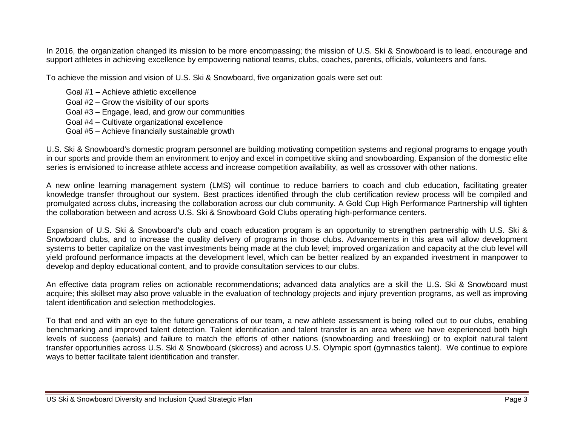In 2016, the organization changed its mission to be more encompassing; the mission of U.S. Ski & Snowboard is to lead, encourage and support athletes in achieving excellence by empowering national teams, clubs, coaches, parents, officials, volunteers and fans.

To achieve the mission and vision of U.S. Ski & Snowboard, five organization goals were set out:

Goal #1 – Achieve athletic excellence Goal #2 – Grow the visibility of our sports Goal #3 – Engage, lead, and grow our communities Goal #4 – Cultivate organizational excellence Goal #5 – Achieve financially sustainable growth

U.S. Ski & Snowboard's domestic program personnel are building motivating competition systems and regional programs to engage youth in our sports and provide them an environment to enjoy and excel in competitive skiing and snowboarding. Expansion of the domestic elite series is envisioned to increase athlete access and increase competition availability, as well as crossover with other nations.

A new online learning management system (LMS) will continue to reduce barriers to coach and club education, facilitating greater knowledge transfer throughout our system. Best practices identified through the club certification review process will be compiled and promulgated across clubs, increasing the collaboration across our club community. A Gold Cup High Performance Partnership will tighten the collaboration between and across U.S. Ski & Snowboard Gold Clubs operating high-performance centers.

Expansion of U.S. Ski & Snowboard's club and coach education program is an opportunity to strengthen partnership with U.S. Ski & Snowboard clubs, and to increase the quality delivery of programs in those clubs. Advancements in this area will allow development systems to better capitalize on the vast investments being made at the club level; improved organization and capacity at the club level will yield profound performance impacts at the development level, which can be better realized by an expanded investment in manpower to develop and deploy educational content, and to provide consultation services to our clubs.

An effective data program relies on actionable recommendations; advanced data analytics are a skill the U.S. Ski & Snowboard must acquire; this skillset may also prove valuable in the evaluation of technology projects and injury prevention programs, as well as improving talent identification and selection methodologies.

To that end and with an eye to the future generations of our team, a new athlete assessment is being rolled out to our clubs, enabling benchmarking and improved talent detection. Talent identification and talent transfer is an area where we have experienced both high levels of success (aerials) and failure to match the efforts of other nations (snowboarding and freeskiing) or to exploit natural talent transfer opportunities across U.S. Ski & Snowboard (skicross) and across U.S. Olympic sport (gymnastics talent). We continue to explore ways to better facilitate talent identification and transfer.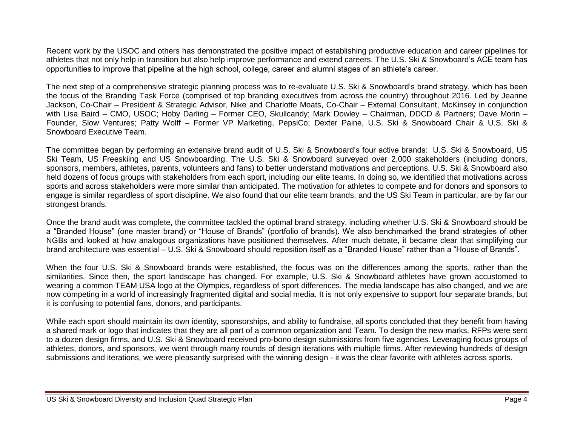Recent work by the USOC and others has demonstrated the positive impact of establishing productive education and career pipelines for athletes that not only help in transition but also help improve performance and extend careers. The U.S. Ski & Snowboard's ACE team has opportunities to improve that pipeline at the high school, college, career and alumni stages of an athlete's career.

The next step of a comprehensive strategic planning process was to re-evaluate U.S. Ski & Snowboard's brand strategy, which has been the focus of the Branding Task Force (comprised of top branding executives from across the country) throughout 2016. Led by Jeanne Jackson, Co-Chair – President & Strategic Advisor, Nike and Charlotte Moats, Co-Chair – External Consultant, McKinsey in conjunction with Lisa Baird – CMO, USOC; Hoby Darling – Former CEO, Skullcandy; Mark Dowley – Chairman, DDCD & Partners; Dave Morin – Founder, Slow Ventures; Patty Wolff – Former VP Marketing, PepsiCo; Dexter Paine, U.S. Ski & Snowboard Chair & U.S. Ski & Snowboard Executive Team.

The committee began by performing an extensive brand audit of U.S. Ski & Snowboard's four active brands: U.S. Ski & Snowboard, US Ski Team, US Freeskiing and US Snowboarding. The U.S. Ski & Snowboard surveyed over 2,000 stakeholders (including donors, sponsors, members, athletes, parents, volunteers and fans) to better understand motivations and perceptions. U.S. Ski & Snowboard also held dozens of focus groups with stakeholders from each sport, including our elite teams. In doing so, we identified that motivations across sports and across stakeholders were more similar than anticipated. The motivation for athletes to compete and for donors and sponsors to engage is similar regardless of sport discipline. We also found that our elite team brands, and the US Ski Team in particular, are by far our strongest brands.

Once the brand audit was complete, the committee tackled the optimal brand strategy, including whether U.S. Ski & Snowboard should be a "Branded House" (one master brand) or "House of Brands" (portfolio of brands). We also benchmarked the brand strategies of other NGBs and looked at how analogous organizations have positioned themselves. After much debate, it became clear that simplifying our brand architecture was essential – U.S. Ski & Snowboard should reposition itself as a "Branded House" rather than a "House of Brands".

When the four U.S. Ski & Snowboard brands were established, the focus was on the differences among the sports, rather than the similarities. Since then, the sport landscape has changed. For example, U.S. Ski & Snowboard athletes have grown accustomed to wearing a common TEAM USA logo at the Olympics, regardless of sport differences. The media landscape has also changed, and we are now competing in a world of increasingly fragmented digital and social media. It is not only expensive to support four separate brands, but it is confusing to potential fans, donors, and participants.

While each sport should maintain its own identity, sponsorships, and ability to fundraise, all sports concluded that they benefit from having a shared mark or logo that indicates that they are all part of a common organization and Team. To design the new marks, RFPs were sent to a dozen design firms, and U.S. Ski & Snowboard received pro-bono design submissions from five agencies. Leveraging focus groups of athletes, donors, and sponsors, we went through many rounds of design iterations with multiple firms. After reviewing hundreds of design submissions and iterations, we were pleasantly surprised with the winning design - it was the clear favorite with athletes across sports.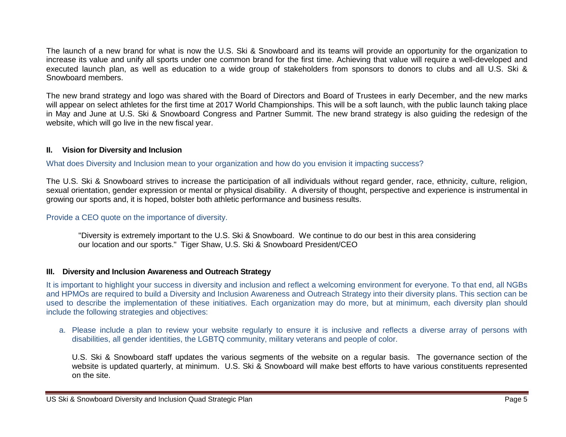The launch of a new brand for what is now the U.S. Ski & Snowboard and its teams will provide an opportunity for the organization to increase its value and unify all sports under one common brand for the first time. Achieving that value will require a well-developed and executed launch plan, as well as education to a wide group of stakeholders from sponsors to donors to clubs and all U.S. Ski & Snowboard members.

The new brand strategy and logo was shared with the Board of Directors and Board of Trustees in early December, and the new marks will appear on select athletes for the first time at 2017 World Championships. This will be a soft launch, with the public launch taking place in May and June at U.S. Ski & Snowboard Congress and Partner Summit. The new brand strategy is also guiding the redesign of the website, which will go live in the new fiscal year.

### **II. Vision for Diversity and Inclusion**

What does Diversity and Inclusion mean to your organization and how do you envision it impacting success?

The U.S. Ski & Snowboard strives to increase the participation of all individuals without regard gender, race, ethnicity, culture, religion, sexual orientation, gender expression or mental or physical disability. A diversity of thought, perspective and experience is instrumental in growing our sports and, it is hoped, bolster both athletic performance and business results.

#### Provide a CEO quote on the importance of diversity.

"Diversity is extremely important to the U.S. Ski & Snowboard. We continue to do our best in this area considering our location and our sports." Tiger Shaw, U.S. Ski & Snowboard President/CEO

#### **III. Diversity and Inclusion Awareness and Outreach Strategy**

It is important to highlight your success in diversity and inclusion and reflect a welcoming environment for everyone. To that end, all NGBs and HPMOs are required to build a Diversity and Inclusion Awareness and Outreach Strategy into their diversity plans. This section can be used to describe the implementation of these initiatives. Each organization may do more, but at minimum, each diversity plan should include the following strategies and objectives:

a. Please include a plan to review your website regularly to ensure it is inclusive and reflects a diverse array of persons with disabilities, all gender identities, the LGBTQ community, military veterans and people of color.

U.S. Ski & Snowboard staff updates the various segments of the website on a regular basis. The governance section of the website is updated quarterly, at minimum. U.S. Ski & Snowboard will make best efforts to have various constituents represented on the site.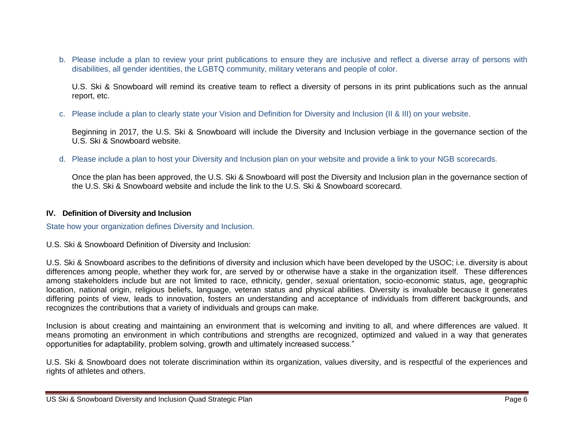b. Please include a plan to review your print publications to ensure they are inclusive and reflect a diverse array of persons with disabilities, all gender identities, the LGBTQ community, military veterans and people of color.

U.S. Ski & Snowboard will remind its creative team to reflect a diversity of persons in its print publications such as the annual report, etc.

c. Please include a plan to clearly state your Vision and Definition for Diversity and Inclusion (II & III) on your website.

Beginning in 2017, the U.S. Ski & Snowboard will include the Diversity and Inclusion verbiage in the governance section of the U.S. Ski & Snowboard website.

d. Please include a plan to host your Diversity and Inclusion plan on your website and provide a link to your NGB scorecards.

Once the plan has been approved, the U.S. Ski & Snowboard will post the Diversity and Inclusion plan in the governance section of the U.S. Ski & Snowboard website and include the link to the U.S. Ski & Snowboard scorecard.

### **IV. Definition of Diversity and Inclusion**

State how your organization defines Diversity and Inclusion.

U.S. Ski & Snowboard Definition of Diversity and Inclusion:

U.S. Ski & Snowboard ascribes to the definitions of diversity and inclusion which have been developed by the USOC; i.e. diversity is about differences among people, whether they work for, are served by or otherwise have a stake in the organization itself. These differences among stakeholders include but are not limited to race, ethnicity, gender, sexual orientation, socio-economic status, age, geographic location, national origin, religious beliefs, language, veteran status and physical abilities. Diversity is invaluable because it generates differing points of view, leads to innovation, fosters an understanding and acceptance of individuals from different backgrounds, and recognizes the contributions that a variety of individuals and groups can make.

Inclusion is about creating and maintaining an environment that is welcoming and inviting to all, and where differences are valued. It means promoting an environment in which contributions and strengths are recognized, optimized and valued in a way that generates opportunities for adaptability, problem solving, growth and ultimately increased success."

U.S. Ski & Snowboard does not tolerate discrimination within its organization, values diversity, and is respectful of the experiences and rights of athletes and others.

US Ski & Snowboard Diversity and Inclusion Quad Strategic Plan Page 6 and Page 6 and Page 6 and Page 6 and Page 6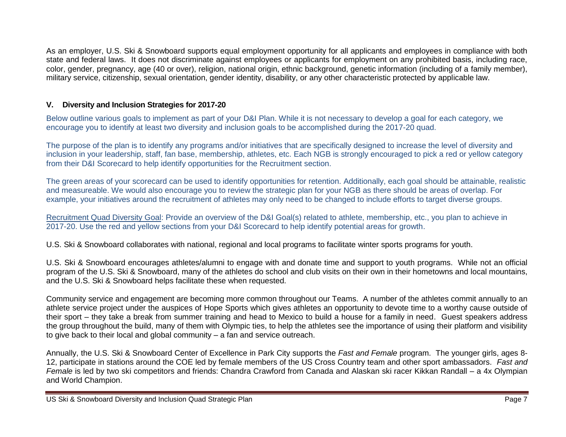As an employer, U.S. Ski & Snowboard supports equal employment opportunity for all applicants and employees in compliance with both state and federal laws. It does not discriminate against employees or applicants for employment on any prohibited basis, including race, color, gender, pregnancy, age (40 or over), religion, national origin, ethnic background, genetic information (including of a family member), military service, citizenship, sexual orientation, gender identity, disability, or any other characteristic protected by applicable law.

### **V. Diversity and Inclusion Strategies for 2017-20**

Below outline various goals to implement as part of your D&I Plan. While it is not necessary to develop a goal for each category, we encourage you to identify at least two diversity and inclusion goals to be accomplished during the 2017-20 quad.

The purpose of the plan is to identify any programs and/or initiatives that are specifically designed to increase the level of diversity and inclusion in your leadership, staff, fan base, membership, athletes, etc. Each NGB is strongly encouraged to pick a red or yellow category from their D&I Scorecard to help identify opportunities for the Recruitment section.

The green areas of your scorecard can be used to identify opportunities for retention. Additionally, each goal should be attainable, realistic and measureable. We would also encourage you to review the strategic plan for your NGB as there should be areas of overlap. For example, your initiatives around the recruitment of athletes may only need to be changed to include efforts to target diverse groups.

Recruitment Quad Diversity Goal: Provide an overview of the D&I Goal(s) related to athlete, membership, etc., you plan to achieve in 2017-20. Use the red and yellow sections from your D&I Scorecard to help identify potential areas for growth.

U.S. Ski & Snowboard collaborates with national, regional and local programs to facilitate winter sports programs for youth.

U.S. Ski & Snowboard encourages athletes/alumni to engage with and donate time and support to youth programs. While not an official program of the U.S. Ski & Snowboard, many of the athletes do school and club visits on their own in their hometowns and local mountains, and the U.S. Ski & Snowboard helps facilitate these when requested.

Community service and engagement are becoming more common throughout our Teams. A number of the athletes commit annually to an athlete service project under the auspices of [Hope Sports](http://hopesports.org/) which gives athletes an opportunity to devote time to a worthy cause outside of their sport – they take a break from summer training and head to Mexico to build a house for a family in need. Guest speakers address the group throughout the build, many of them with Olympic ties, to help the athletes see the importance of using their platform and visibility to give back to their local and global community – a fan and service outreach.

Annually, the U.S. Ski & Snowboard Center of Excellence in Park City supports the *Fast and Female* program. The younger girls, ages 8- 12, participate in stations around the COE led by female members of the US Cross Country team and other sport ambassadors. *Fast and Female* is led by two ski competitors and friends: Chandra Crawford from Canada and Alaskan ski racer Kikkan Randall – a 4x Olympian and World Champion.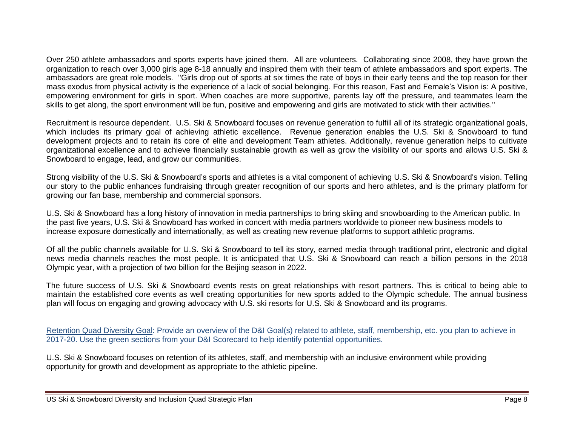Over 250 athlete ambassadors and sports experts have joined them. All are volunteers. Collaborating since 2008, they have grown the organization to reach over 3,000 girls age 8-18 annually and inspired them with their team of athlete ambassadors and sport experts. The ambassadors are great role models. "Girls drop out of sports at six times the rate of boys in their early teens and the top reason for their mass exodus from physical activity is the experience of a lack of social belonging. For this reason, Fast and Female's Vision is: A positive, empowering environment for girls in sport. When coaches are more supportive, parents lay off the pressure, and teammates learn the skills to get along, the sport environment will be fun, positive and empowering and girls are motivated to stick with their activities."

Recruitment is resource dependent. U.S. Ski & Snowboard focuses on revenue generation to fulfill all of its strategic organizational goals, which includes its primary goal of achieving athletic excellence. Revenue generation enables the U.S. Ski & Snowboard to fund development projects and to retain its core of elite and development Team athletes. Additionally, revenue generation helps to cultivate organizational excellence and to achieve financially sustainable growth as well as grow the visibility of our sports and allows U.S. Ski & Snowboard to engage, lead, and grow our communities.

Strong visibility of the U.S. Ski & Snowboard's sports and athletes is a vital component of achieving U.S. Ski & Snowboard's vision. Telling our story to the public enhances fundraising through greater recognition of our sports and hero athletes, and is the primary platform for growing our fan base, membership and commercial sponsors.

U.S. Ski & Snowboard has a long history of innovation in media partnerships to bring skiing and snowboarding to the American public. In the past five years, U.S. Ski & Snowboard has worked in concert with media partners worldwide to pioneer new business models to increase exposure domestically and internationally, as well as creating new revenue platforms to support athletic programs.

Of all the public channels available for U.S. Ski & Snowboard to tell its story, earned media through traditional print, electronic and digital news media channels reaches the most people. It is anticipated that U.S. Ski & Snowboard can reach a billion persons in the 2018 Olympic year, with a projection of two billion for the Beijing season in 2022.

The future success of U.S. Ski & Snowboard events rests on great relationships with resort partners. This is critical to being able to maintain the established core events as well creating opportunities for new sports added to the Olympic schedule. The annual business plan will focus on engaging and growing advocacy with U.S. ski resorts for U.S. Ski & Snowboard and its programs.

Retention Quad Diversity Goal: Provide an overview of the D&I Goal(s) related to athlete, staff, membership, etc. you plan to achieve in 2017-20. Use the green sections from your D&I Scorecard to help identify potential opportunities.

U.S. Ski & Snowboard focuses on retention of its athletes, staff, and membership with an inclusive environment while providing opportunity for growth and development as appropriate to the athletic pipeline.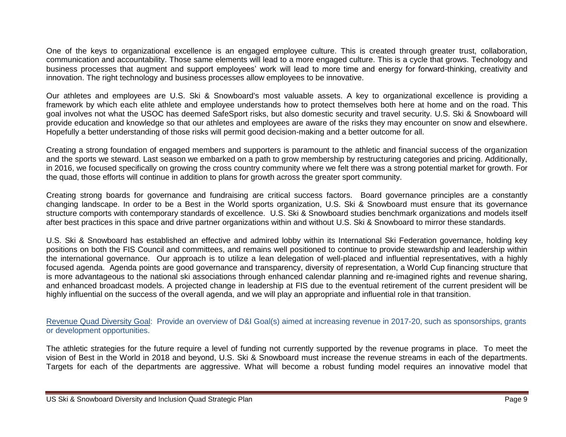One of the keys to organizational excellence is an engaged employee culture. This is created through greater trust, collaboration, communication and accountability. Those same elements will lead to a more engaged culture. This is a cycle that grows. Technology and business processes that augment and support employees' work will lead to more time and energy for forward-thinking, creativity and innovation. The right technology and business processes allow employees to be innovative.

Our athletes and employees are U.S. Ski & Snowboard's most valuable assets. A key to organizational excellence is providing a framework by which each elite athlete and employee understands how to protect themselves both here at home and on the road. This goal involves not what the USOC has deemed SafeSport risks, but also domestic security and travel security. U.S. Ski & Snowboard will provide education and knowledge so that our athletes and employees are aware of the risks they may encounter on snow and elsewhere. Hopefully a better understanding of those risks will permit good decision-making and a better outcome for all.

Creating a strong foundation of engaged members and supporters is paramount to the athletic and financial success of the organization and the sports we steward. Last season we embarked on a path to grow membership by restructuring categories and pricing. Additionally, in 2016, we focused specifically on growing the cross country community where we felt there was a strong potential market for growth. For the quad, those efforts will continue in addition to plans for growth across the greater sport community.

Creating strong boards for governance and fundraising are critical success factors. Board governance principles are a constantly changing landscape. In order to be a Best in the World sports organization, U.S. Ski & Snowboard must ensure that its governance structure comports with contemporary standards of excellence. U.S. Ski & Snowboard studies benchmark organizations and models itself after best practices in this space and drive partner organizations within and without U.S. Ski & Snowboard to mirror these standards.

U.S. Ski & Snowboard has established an effective and admired lobby within its International Ski Federation governance, holding key positions on both the FIS Council and committees, and remains well positioned to continue to provide stewardship and leadership within the international governance. Our approach is to utilize a lean delegation of well-placed and influential representatives, with a highly focused agenda. Agenda points are good governance and transparency, diversity of representation, a World Cup financing structure that is more advantageous to the national ski associations through enhanced calendar planning and re-imagined rights and revenue sharing, and enhanced broadcast models. A projected change in leadership at FIS due to the eventual retirement of the current president will be highly influential on the success of the overall agenda, and we will play an appropriate and influential role in that transition.

Revenue Quad Diversity Goal: Provide an overview of D&I Goal(s) aimed at increasing revenue in 2017-20, such as sponsorships, grants or development opportunities.

The athletic strategies for the future require a level of funding not currently supported by the revenue programs in place. To meet the vision of Best in the World in 2018 and beyond, U.S. Ski & Snowboard must increase the revenue streams in each of the departments. Targets for each of the departments are aggressive. What will become a robust funding model requires an innovative model that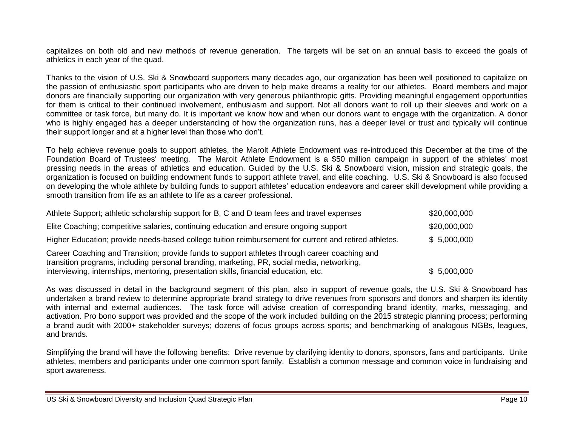capitalizes on both old and new methods of revenue generation. The targets will be set on an annual basis to exceed the goals of athletics in each year of the quad.

Thanks to the vision of U.S. Ski & Snowboard supporters many decades ago, our organization has been well positioned to capitalize on the passion of enthusiastic sport participants who are driven to help make dreams a reality for our athletes. Board members and major donors are financially supporting our organization with very generous philanthropic gifts. Providing meaningful engagement opportunities for them is critical to their continued involvement, enthusiasm and support. Not all donors want to roll up their sleeves and work on a committee or task force, but many do. It is important we know how and when our donors want to engage with the organization. A donor who is highly engaged has a deeper understanding of how the organization runs, has a deeper level or trust and typically will continue their support longer and at a higher level than those who don't.

To help achieve revenue goals to support athletes, the Marolt Athlete Endowment was re-introduced this December at the time of the Foundation Board of Trustees' meeting. The Marolt Athlete Endowment is a \$50 million campaign in support of the athletes' most pressing needs in the areas of athletics and education. Guided by the U.S. Ski & Snowboard vision, mission and strategic goals, the organization is focused on building endowment funds to support athlete travel, and elite coaching. U.S. Ski & Snowboard is also focused on developing the whole athlete by building funds to support athletes' education endeavors and career skill development while providing a smooth transition from life as an athlete to life as a career professional.

| Athlete Support; athletic scholarship support for B, C and D team fees and travel expenses                                                                                                  | \$20,000,000 |
|---------------------------------------------------------------------------------------------------------------------------------------------------------------------------------------------|--------------|
| Elite Coaching; competitive salaries, continuing education and ensure ongoing support                                                                                                       | \$20,000,000 |
| Higher Education; provide needs-based college tuition reimbursement for current and retired athletes.                                                                                       | \$5,000,000  |
| Career Coaching and Transition; provide funds to support athletes through career coaching and<br>transition programs, including personal branding, marketing, PR, social media, networking, |              |
| interviewing, internships, mentoring, presentation skills, financial education, etc.                                                                                                        | \$5,000,000  |

As was discussed in detail in the background segment of this plan, also in support of revenue goals, the U.S. Ski & Snowboard has undertaken a brand review to determine appropriate brand strategy to drive revenues from sponsors and donors and sharpen its identity with internal and external audiences. The task force will advise creation of corresponding brand identity, marks, messaging, and activation. Pro bono support was provided and the scope of the work included building on the 2015 strategic planning process; performing a brand audit with 2000+ stakeholder surveys; dozens of focus groups across sports; and benchmarking of analogous NGBs, leagues, and brands.

Simplifying the brand will have the following benefits: Drive revenue by clarifying identity to donors, sponsors, fans and participants. Unite athletes, members and participants under one common sport family. Establish a common message and common voice in fundraising and sport awareness.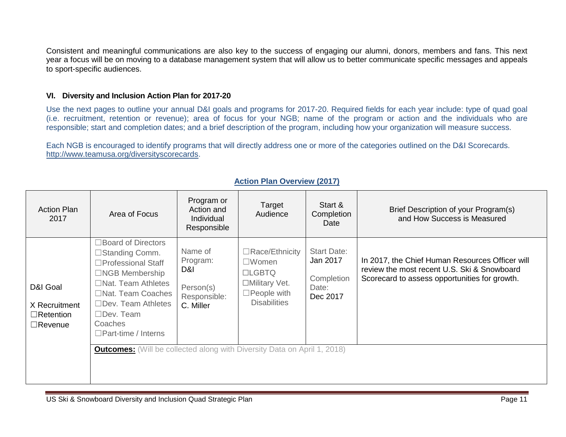Consistent and meaningful communications are also key to the success of engaging our alumni, donors, members and fans. This next year a focus will be on moving to a database management system that will allow us to better communicate specific messages and appeals to sport-specific audiences.

### **VI. Diversity and Inclusion Action Plan for 2017-20**

Use the next pages to outline your annual D&I goals and programs for 2017-20. Required fields for each year include: type of quad goal (i.e. recruitment, retention or revenue); area of focus for your NGB; name of the program or action and the individuals who are responsible; start and completion dates; and a brief description of the program, including how your organization will measure success.

Each NGB is encouraged to identify programs that will directly address one or more of the categories outlined on the D&I Scorecards. [http://www.teamusa.org/diversityscorecards.](http://www.teamusa.org/diversityscorecards)

| <b>Action Plan</b><br>2017                                      | Area of Focus                                                                                                                                                                                                                                       | Program or<br>Action and<br>Individual<br>Responsible                | Target<br>Audience                                                                                                          | Start &<br>Completion<br>Date                                     | Brief Description of your Program(s)<br>and How Success is Measured                                                                             |
|-----------------------------------------------------------------|-----------------------------------------------------------------------------------------------------------------------------------------------------------------------------------------------------------------------------------------------------|----------------------------------------------------------------------|-----------------------------------------------------------------------------------------------------------------------------|-------------------------------------------------------------------|-------------------------------------------------------------------------------------------------------------------------------------------------|
| D&I Goal<br>X Recruitment<br>$\Box$ Retention<br>$\Box$ Revenue | □ Board of Directors<br>□Standing Comm.<br>$\square$ Professional Staff<br>$\Box$ NGB Membership<br>$\Box$ Nat. Team Athletes<br>$\Box$ Nat. Team Coaches<br>$\Box$ Dev. Team Athletes<br>$\Box$ Dev. Team<br>Coaches<br>$\Box$ Part-time / Interns | Name of<br>Program:<br>D&I<br>Person(s)<br>Responsible:<br>C. Miller | $\Box$ Race/Ethnicity<br>$\square$ Women<br><b>LLGBTQ</b><br>□Military Vet.<br>$\square$ People with<br><b>Disabilities</b> | <b>Start Date:</b><br>Jan 2017<br>Completion<br>Date:<br>Dec 2017 | In 2017, the Chief Human Resources Officer will<br>review the most recent U.S. Ski & Snowboard<br>Scorecard to assess opportunities for growth. |
|                                                                 | <b>Outcomes:</b> (Will be collected along with Diversity Data on April 1, 2018)                                                                                                                                                                     |                                                                      |                                                                                                                             |                                                                   |                                                                                                                                                 |

## **Action Plan Overview (2017)**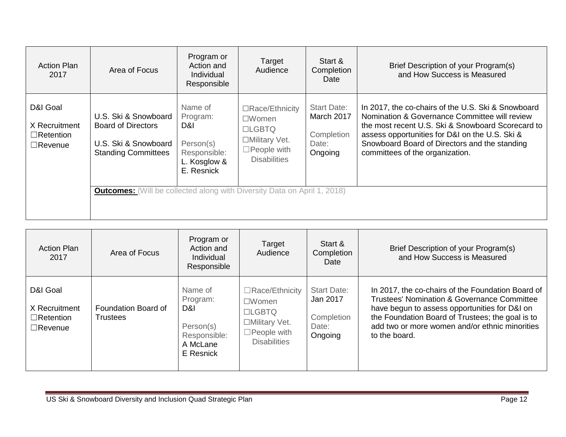| <b>Action Plan</b><br>2017                                      | Area of Focus                                                                                                                                                                              | Program or<br>Action and<br>Individual<br>Responsible                                 | Target<br>Audience                                                                                               | Start &<br>Completion<br>Date                                      | Brief Description of your Program(s)<br>and How Success is Measured                                                                                                                                                                                                                            |
|-----------------------------------------------------------------|--------------------------------------------------------------------------------------------------------------------------------------------------------------------------------------------|---------------------------------------------------------------------------------------|------------------------------------------------------------------------------------------------------------------|--------------------------------------------------------------------|------------------------------------------------------------------------------------------------------------------------------------------------------------------------------------------------------------------------------------------------------------------------------------------------|
| D&I Goal<br>X Recruitment<br>$\Box$ Retention<br>$\Box$ Revenue | U.S. Ski & Snowboard<br><b>Board of Directors</b><br>U.S. Ski & Snowboard<br><b>Standing Committees</b><br><b>Outcomes:</b> (Will be collected along with Diversity Data on April 1, 2018) | Name of<br>Program:<br>D&I<br>Person(s)<br>Responsible:<br>L. Kosglow &<br>E. Resnick | □Race/Ethnicity<br>$\square$ Women<br>$L$ GBTQ<br>□Military Vet.<br>$\square$ People with<br><b>Disabilities</b> | <b>Start Date:</b><br>March 2017<br>Completion<br>Date:<br>Ongoing | In 2017, the co-chairs of the U.S. Ski & Snowboard<br>Nomination & Governance Committee will review<br>the most recent U.S. Ski & Snowboard Scorecard to<br>assess opportunities for D&I on the U.S. Ski &<br>Snowboard Board of Directors and the standing<br>committees of the organization. |

| <b>Action Plan</b><br>2017                                      | Area of Focus                          | Program or<br>Action and<br>Individual<br>Responsible                             | Target<br>Audience                                                                                                          | Start &<br>Completion<br>Date                                    | Brief Description of your Program(s)<br>and How Success is Measured                                                                                                                                                                                                                 |
|-----------------------------------------------------------------|----------------------------------------|-----------------------------------------------------------------------------------|-----------------------------------------------------------------------------------------------------------------------------|------------------------------------------------------------------|-------------------------------------------------------------------------------------------------------------------------------------------------------------------------------------------------------------------------------------------------------------------------------------|
| D&I Goal<br>X Recruitment<br>$\Box$ Retention<br>$\Box$ Revenue | Foundation Board of<br><b>Trustees</b> | Name of<br>Program:<br>D&I.<br>Person(s)<br>Responsible:<br>A McLane<br>E Resnick | $\Box$ Race/Ethnicity<br>$\square$ Women<br><b>LLGBTQ</b><br>□Military Vet.<br>$\square$ People with<br><b>Disabilities</b> | <b>Start Date:</b><br>Jan 2017<br>Completion<br>Date:<br>Ongoing | In 2017, the co-chairs of the Foundation Board of<br><b>Trustees' Nomination &amp; Governance Committee</b><br>have begun to assess opportunities for D&I on<br>the Foundation Board of Trustees; the goal is to<br>add two or more women and/or ethnic minorities<br>to the board. |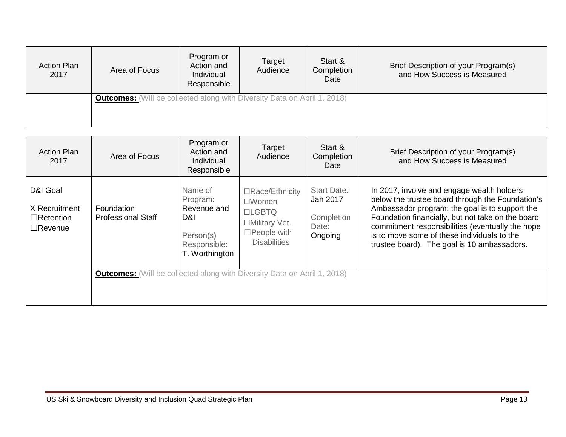| <b>Action Plan</b><br>2017 | Area of Focus                                                                   | Program or<br>Action and<br>Individual<br>Responsible | Target<br>Audience | Start &<br>Completion<br>Date | Brief Description of your Program(s)<br>and How Success is Measured |
|----------------------------|---------------------------------------------------------------------------------|-------------------------------------------------------|--------------------|-------------------------------|---------------------------------------------------------------------|
|                            | <b>Outcomes:</b> (Will be collected along with Diversity Data on April 1, 2018) |                                                       |                    |                               |                                                                     |

| <b>Action Plan</b><br>2017                                      | Area of Focus                                                                                                              | Program or<br>Action and<br>Individual<br>Responsible                                    | Target<br>Audience                                                                                              | Start &<br>Completion<br>Date                                    | Brief Description of your Program(s)<br>and How Success is Measured                                                                                                                                                                                                                                                                                     |
|-----------------------------------------------------------------|----------------------------------------------------------------------------------------------------------------------------|------------------------------------------------------------------------------------------|-----------------------------------------------------------------------------------------------------------------|------------------------------------------------------------------|---------------------------------------------------------------------------------------------------------------------------------------------------------------------------------------------------------------------------------------------------------------------------------------------------------------------------------------------------------|
| D&I Goal<br>X Recruitment<br>$\Box$ Retention<br>$\Box$ Revenue | Foundation<br><b>Professional Staff</b><br><b>Outcomes:</b> (Will be collected along with Diversity Data on April 1, 2018) | Name of<br>Program:<br>Revenue and<br>D&I<br>Person(s)<br>Responsible:<br>T. Worthington | □Race/Ethnicity<br>$\square$ Women<br>$LGBTO$<br>□Military Vet.<br>$\square$ People with<br><b>Disabilities</b> | <b>Start Date:</b><br>Jan 2017<br>Completion<br>Date:<br>Ongoing | In 2017, involve and engage wealth holders<br>below the trustee board through the Foundation's<br>Ambassador program; the goal is to support the<br>Foundation financially, but not take on the board<br>commitment responsibilities (eventually the hope<br>is to move some of these individuals to the<br>trustee board). The goal is 10 ambassadors. |
|                                                                 |                                                                                                                            |                                                                                          |                                                                                                                 |                                                                  |                                                                                                                                                                                                                                                                                                                                                         |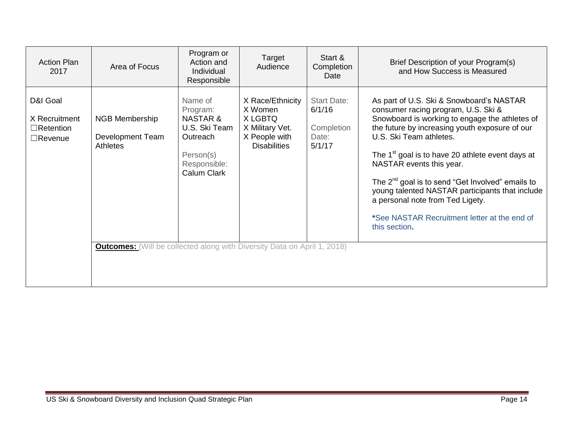| <b>Action Plan</b><br>2017                                      | Area of Focus                                                                                                                            | Program or<br>Action and<br><b>Individual</b><br>Responsible                                                        | Target<br>Audience                                                                                | Start &<br>Completion<br>Date                                 | Brief Description of your Program(s)<br>and How Success is Measured                                                                                                                                                                                                                                                                                                                                                                                                                                                         |
|-----------------------------------------------------------------|------------------------------------------------------------------------------------------------------------------------------------------|---------------------------------------------------------------------------------------------------------------------|---------------------------------------------------------------------------------------------------|---------------------------------------------------------------|-----------------------------------------------------------------------------------------------------------------------------------------------------------------------------------------------------------------------------------------------------------------------------------------------------------------------------------------------------------------------------------------------------------------------------------------------------------------------------------------------------------------------------|
| D&I Goal<br>X Recruitment<br>$\Box$ Retention<br>$\Box$ Revenue | NGB Membership<br>Development Team<br><b>Athletes</b><br><b>Outcomes:</b> (Will be collected along with Diversity Data on April 1, 2018) | Name of<br>Program:<br><b>NASTAR &amp;</b><br>U.S. Ski Team<br>Outreach<br>Person(s)<br>Responsible:<br>Calum Clark | X Race/Ethnicity<br>X Women<br>X LGBTQ<br>X Military Vet.<br>X People with<br><b>Disabilities</b> | <b>Start Date:</b><br>6/1/16<br>Completion<br>Date:<br>5/1/17 | As part of U.S. Ski & Snowboard's NASTAR<br>consumer racing program, U.S. Ski &<br>Snowboard is working to engage the athletes of<br>the future by increasing youth exposure of our<br>U.S. Ski Team athletes.<br>The 1 <sup>st</sup> goal is to have 20 athlete event days at<br>NASTAR events this year.<br>The $2^{nd}$ goal is to send "Get Involved" emails to<br>young talented NASTAR participants that include<br>a personal note from Ted Ligety.<br>*See NASTAR Recruitment letter at the end of<br>this section. |
|                                                                 |                                                                                                                                          |                                                                                                                     |                                                                                                   |                                                               |                                                                                                                                                                                                                                                                                                                                                                                                                                                                                                                             |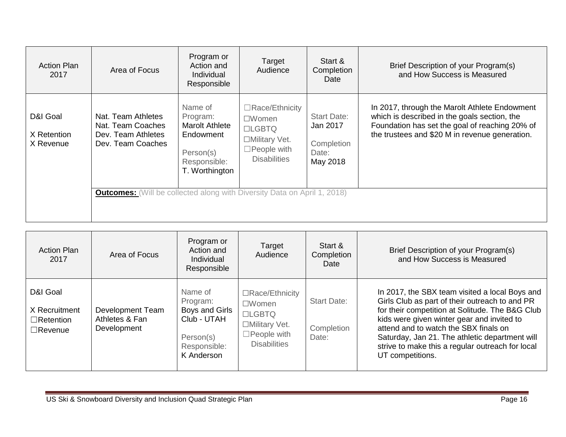| <b>Action Plan</b><br>2017           | Area of Focus                                                                                                                                                         | Program or<br>Action and<br>Individual<br>Responsible                                                    | Target<br>Audience                                                                                                    | Start &<br>Completion<br>Date                                     | Brief Description of your Program(s)<br>and How Success is Measured                                                                                                                               |
|--------------------------------------|-----------------------------------------------------------------------------------------------------------------------------------------------------------------------|----------------------------------------------------------------------------------------------------------|-----------------------------------------------------------------------------------------------------------------------|-------------------------------------------------------------------|---------------------------------------------------------------------------------------------------------------------------------------------------------------------------------------------------|
| D&I Goal<br>X Retention<br>X Revenue | Nat. Team Athletes<br>Nat. Team Coaches<br>Dev. Team Athletes<br>Dev. Team Coaches<br><b>Outcomes:</b> (Will be collected along with Diversity Data on April 1, 2018) | Name of<br>Program:<br><b>Marolt Athlete</b><br>Endowment<br>Person(s)<br>Responsible:<br>T. Worthington | $\Box$ Race/Ethnicity<br>$\square$ Women<br>$LGBTO$<br>□Military Vet.<br>$\square$ People with<br><b>Disabilities</b> | <b>Start Date:</b><br>Jan 2017<br>Completion<br>Date:<br>May 2018 | In 2017, through the Marolt Athlete Endowment<br>which is described in the goals section, the<br>Foundation has set the goal of reaching 20% of<br>the trustees and \$20 M in revenue generation. |

| <b>Action Plan</b><br>2017                                      | Area of Focus                                     | Program or<br>Action and<br>Individual<br>Responsible                                           | Target<br>Audience                                                                                                          | Start &<br>Completion<br>Date             | Brief Description of your Program(s)<br>and How Success is Measured                                                                                                                                                                                                                                                                                                  |
|-----------------------------------------------------------------|---------------------------------------------------|-------------------------------------------------------------------------------------------------|-----------------------------------------------------------------------------------------------------------------------------|-------------------------------------------|----------------------------------------------------------------------------------------------------------------------------------------------------------------------------------------------------------------------------------------------------------------------------------------------------------------------------------------------------------------------|
| D&I Goal<br>X Recruitment<br>$\Box$ Retention<br>$\Box$ Revenue | Development Team<br>Athletes & Fan<br>Development | Name of<br>Program:<br>Boys and Girls<br>Club - UTAH<br>Person(s)<br>Responsible:<br>K Anderson | $\Box$ Race/Ethnicity<br>$\square$ Women<br><b>LIGBTQ</b><br>□Military Vet.<br>$\square$ People with<br><b>Disabilities</b> | <b>Start Date:</b><br>Completion<br>Date: | In 2017, the SBX team visited a local Boys and<br>Girls Club as part of their outreach to and PR<br>for their competition at Solitude. The B&G Club<br>kids were given winter gear and invited to<br>attend and to watch the SBX finals on<br>Saturday, Jan 21. The athletic department will<br>strive to make this a regular outreach for local<br>UT competitions. |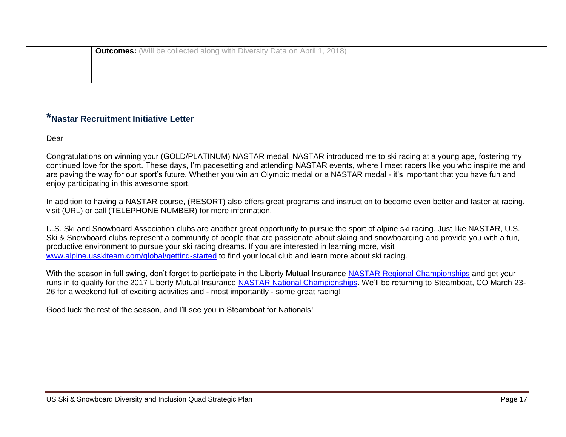| <sup>1</sup> <b>Outcomes:</b> (Will be collected along with Diversity Data on April 1, 2018) |
|----------------------------------------------------------------------------------------------|
|                                                                                              |
|                                                                                              |

# **\*Nastar Recruitment Initiative Letter**

Dear

Congratulations on winning your (GOLD/PLATINUM) NASTAR medal! NASTAR introduced me to ski racing at a young age, fostering my continued love for the sport. These days, I'm pacesetting and attending NASTAR events, where I meet racers like you who inspire me and are paving the way for our sport's future. Whether you win an Olympic medal or a NASTAR medal - it's important that you have fun and enjoy participating in this awesome sport.

In addition to having a NASTAR course, (RESORT) also offers great programs and instruction to become even better and faster at racing, visit (URL) or call (TELEPHONE NUMBER) for more information.

U.S. Ski and Snowboard Association clubs are another great opportunity to pursue the sport of alpine ski racing. Just like NASTAR, U.S. Ski & Snowboard clubs represent a community of people that are passionate about skiing and snowboarding and provide you with a fun, productive environment to pursue your ski racing dreams. If you are interested in learning more, visit [www.alpine.usskiteam.com/global/getting-started](http://alpine.usskiteam.com/global/getting-started) to find your local club and learn more about ski racing.

With the season in full swing, don't forget to participate in the Liberty Mutual Insurance [NASTAR Regional Championships](https://www.nastar.com/news/nastar-regional-championships-race-lifetime) and get your runs in to qualify for the 2017 Liberty Mutual Insurance [NASTAR National Championships.](https://www.nastar.com/national-championships) We'll be returning to Steamboat, CO March 23-26 for a weekend full of exciting activities and - most importantly - some great racing!

Good luck the rest of the season, and I'll see you in Steamboat for Nationals!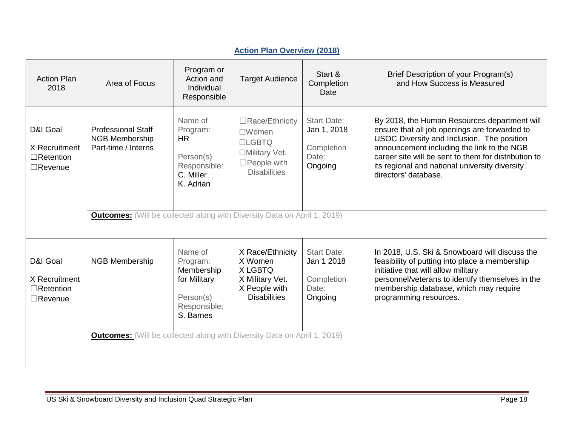| <b>Action Plan</b><br>2018                                      | Area of Focus                                                                   | Program or<br>Action and<br>Individual<br>Responsible                                       | <b>Target Audience</b>                                                                                          | Start &<br>Completion<br>Date                                       | Brief Description of your Program(s)<br>and How Success is Measured                                                                                                                                                                                                                                                         |
|-----------------------------------------------------------------|---------------------------------------------------------------------------------|---------------------------------------------------------------------------------------------|-----------------------------------------------------------------------------------------------------------------|---------------------------------------------------------------------|-----------------------------------------------------------------------------------------------------------------------------------------------------------------------------------------------------------------------------------------------------------------------------------------------------------------------------|
| D&I Goal<br>X Recruitment<br>$\Box$ Retention<br>$\Box$ Revenue | <b>Professional Staff</b><br><b>NGB Membership</b><br>Part-time / Interns       | Name of<br>Program:<br><b>HR</b><br>Person(s)<br>Responsible:<br>C. Miller<br>K. Adrian     | □Race/Ethnicity<br>$\square$ Women<br>$LGBTO$<br>□Military Vet.<br>$\square$ People with<br><b>Disabilities</b> | <b>Start Date:</b><br>Jan 1, 2018<br>Completion<br>Date:<br>Ongoing | By 2018, the Human Resources department will<br>ensure that all job openings are forwarded to<br>USOC Diversity and Inclusion. The position<br>announcement including the link to the NGB<br>career site will be sent to them for distribution to<br>its regional and national university diversity<br>directors' database. |
|                                                                 | <b>Outcomes:</b> (Will be collected along with Diversity Data on April 1, 2019) |                                                                                             |                                                                                                                 |                                                                     |                                                                                                                                                                                                                                                                                                                             |
| D&I Goal<br>X Recruitment<br>$\Box$ Retention<br>$\Box$ Revenue | <b>NGB Membership</b>                                                           | Name of<br>Program:<br>Membership<br>for Military<br>Person(s)<br>Responsible:<br>S. Barnes | X Race/Ethnicity<br>X Women<br>X LGBTQ<br>X Military Vet.<br>X People with<br><b>Disabilities</b>               | <b>Start Date:</b><br>Jan 1 2018<br>Completion<br>Date:<br>Ongoing  | In 2018, U.S. Ski & Snowboard will discuss the<br>feasibility of putting into place a membership<br>initiative that will allow military<br>personnel/veterans to identify themselves in the<br>membership database, which may require<br>programming resources.                                                             |
|                                                                 | <b>Outcomes:</b> (Will be collected along with Diversity Data on April 1, 2019) |                                                                                             |                                                                                                                 |                                                                     |                                                                                                                                                                                                                                                                                                                             |

## **Action Plan Overview (2018)**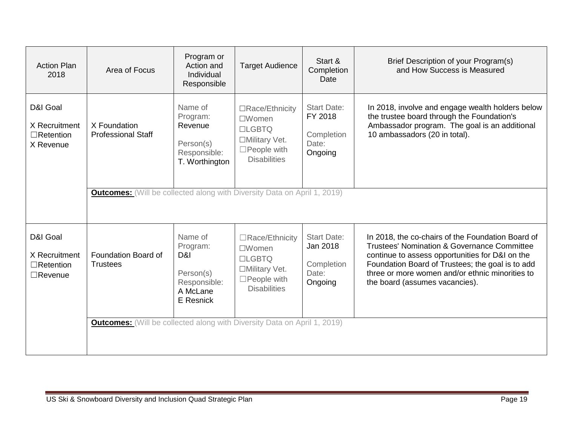| <b>Action Plan</b><br>2018                                      | Area of Focus                                                                   | Program or<br>Action and<br>Individual<br>Responsible                            | <b>Target Audience</b>                                                                                           | Start &<br>Completion<br>Date                                    | Brief Description of your Program(s)<br>and How Success is Measured                                                                                                                                                                                                                                     |
|-----------------------------------------------------------------|---------------------------------------------------------------------------------|----------------------------------------------------------------------------------|------------------------------------------------------------------------------------------------------------------|------------------------------------------------------------------|---------------------------------------------------------------------------------------------------------------------------------------------------------------------------------------------------------------------------------------------------------------------------------------------------------|
| D&I Goal<br>X Recruitment<br>$\Box$ Retention<br>X Revenue      | X Foundation<br><b>Professional Staff</b>                                       | Name of<br>Program:<br>Revenue<br>Person(s)<br>Responsible:<br>T. Worthington    | □Race/Ethnicity<br>$\square$ Women<br>$ILGBTO$<br>□Military Vet.<br>$\square$ People with<br><b>Disabilities</b> | <b>Start Date:</b><br>FY 2018<br>Completion<br>Date:<br>Ongoing  | In 2018, involve and engage wealth holders below<br>the trustee board through the Foundation's<br>Ambassador program. The goal is an additional<br>10 ambassadors (20 in total).                                                                                                                        |
|                                                                 | <b>Outcomes:</b> (Will be collected along with Diversity Data on April 1, 2019) |                                                                                  |                                                                                                                  |                                                                  |                                                                                                                                                                                                                                                                                                         |
| D&I Goal<br>X Recruitment<br>$\Box$ Retention<br>$\Box$ Revenue | Foundation Board of<br><b>Trustees</b>                                          | Name of<br>Program:<br>D&I<br>Person(s)<br>Responsible:<br>A McLane<br>E Resnick | □Race/Ethnicity<br>$\square$ Women<br>$LGBTO$<br>□Military Vet.<br>$\square$ People with<br><b>Disabilities</b>  | <b>Start Date:</b><br>Jan 2018<br>Completion<br>Date:<br>Ongoing | In 2018, the co-chairs of the Foundation Board of<br><b>Trustees' Nomination &amp; Governance Committee</b><br>continue to assess opportunities for D&I on the<br>Foundation Board of Trustees; the goal is to add<br>three or more women and/or ethnic minorities to<br>the board (assumes vacancies). |
|                                                                 | <b>Outcomes:</b> (Will be collected along with Diversity Data on April 1, 2019) |                                                                                  |                                                                                                                  |                                                                  |                                                                                                                                                                                                                                                                                                         |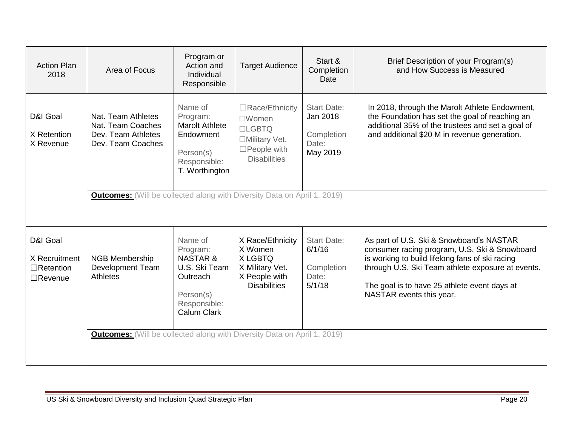| <b>Action Plan</b><br>2018                                      | Area of Focus                                                                      | Program or<br>Action and<br>Individual<br>Responsible                                                               | <b>Target Audience</b>                                                                                           | Start &<br>Completion<br>Date                                     | Brief Description of your Program(s)<br>and How Success is Measured                                                                                                                                                                                                           |
|-----------------------------------------------------------------|------------------------------------------------------------------------------------|---------------------------------------------------------------------------------------------------------------------|------------------------------------------------------------------------------------------------------------------|-------------------------------------------------------------------|-------------------------------------------------------------------------------------------------------------------------------------------------------------------------------------------------------------------------------------------------------------------------------|
| D&I Goal<br>X Retention<br>X Revenue                            | Nat. Team Athletes<br>Nat. Team Coaches<br>Dev. Team Athletes<br>Dev. Team Coaches | Name of<br>Program:<br><b>Marolt Athlete</b><br>Endowment<br>Person(s)<br>Responsible:<br>T. Worthington            | □Race/Ethnicity<br>$\square$ Women<br>$ILGBTO$<br>□Military Vet.<br>$\square$ People with<br><b>Disabilities</b> | <b>Start Date:</b><br>Jan 2018<br>Completion<br>Date:<br>May 2019 | In 2018, through the Marolt Athlete Endowment,<br>the Foundation has set the goal of reaching an<br>additional 35% of the trustees and set a goal of<br>and additional \$20 M in revenue generation.                                                                          |
|                                                                 | <b>Outcomes:</b> (Will be collected along with Diversity Data on April 1, 2019)    |                                                                                                                     |                                                                                                                  |                                                                   |                                                                                                                                                                                                                                                                               |
| D&I Goal<br>X Recruitment<br>$\Box$ Retention<br>$\Box$ Revenue | <b>NGB Membership</b><br><b>Development Team</b><br><b>Athletes</b>                | Name of<br>Program:<br><b>NASTAR &amp;</b><br>U.S. Ski Team<br>Outreach<br>Person(s)<br>Responsible:<br>Calum Clark | X Race/Ethnicity<br>X Women<br>X LGBTQ<br>X Military Vet.<br>X People with<br><b>Disabilities</b>                | <b>Start Date:</b><br>6/1/16<br>Completion<br>Date:<br>5/1/18     | As part of U.S. Ski & Snowboard's NASTAR<br>consumer racing program, U.S. Ski & Snowboard<br>is working to build lifelong fans of ski racing<br>through U.S. Ski Team athlete exposure at events.<br>The goal is to have 25 athlete event days at<br>NASTAR events this year. |
|                                                                 | <b>Outcomes:</b> (Will be collected along with Diversity Data on April 1, 2019)    |                                                                                                                     |                                                                                                                  |                                                                   |                                                                                                                                                                                                                                                                               |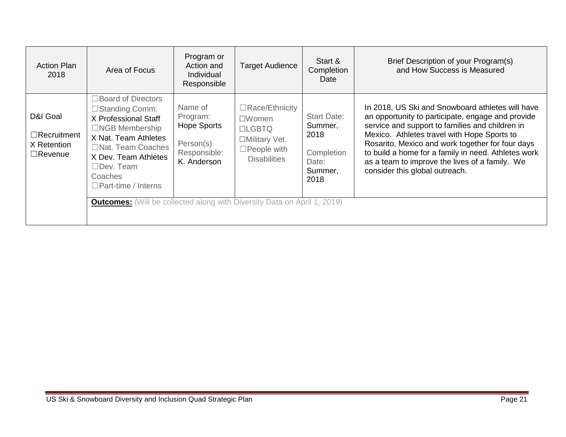| <b>Action Plan</b><br>2018                                      | Area of Focus                                                                                                                                                                                                                                                                                                       | Program or<br>Action and<br><b>Individual</b><br>Responsible                          | <b>Target Audience</b>                                                                                                | Start &<br>Completion<br>Date                                                   | Brief Description of your Program(s)<br>and How Success is Measured                                                                                                                                                                                                                                                                                                                                    |
|-----------------------------------------------------------------|---------------------------------------------------------------------------------------------------------------------------------------------------------------------------------------------------------------------------------------------------------------------------------------------------------------------|---------------------------------------------------------------------------------------|-----------------------------------------------------------------------------------------------------------------------|---------------------------------------------------------------------------------|--------------------------------------------------------------------------------------------------------------------------------------------------------------------------------------------------------------------------------------------------------------------------------------------------------------------------------------------------------------------------------------------------------|
| D&I Goal<br>$\Box$ Recruitment<br>X Retention<br>$\Box$ Revenue | $\Box$ Board of Directors<br>□Standing Comm.<br>X Professional Staff<br>$\Box$ NGB Membership<br>X Nat. Team Athletes<br>□Nat. Team Coaches<br>X Dev. Team Athletes<br>$\Box$ Dev. Team<br>Coaches<br>$\Box$ Part-time / Interns<br><b>Outcomes:</b> (Will be collected along with Diversity Data on April 1, 2019) | Name of<br>Program:<br><b>Hope Sports</b><br>Person(s)<br>Responsible:<br>K. Anderson | $\Box$ Race/Ethnicity<br>$\square$ Women<br>$LGBTQ$<br>□Military Vet.<br>$\square$ People with<br><b>Disabilities</b> | <b>Start Date:</b><br>Summer,<br>2018<br>Completion<br>Date:<br>Summer,<br>2018 | In 2018, US Ski and Snowboard athletes will have<br>an opportunity to participate, engage and provide<br>service and support to families and children in<br>Mexico. Athletes travel with Hope Sports to<br>Rosarito, Mexico and work together for four days<br>to build a home for a family in need. Athletes work<br>as a team to improve the lives of a family. We<br>consider this global outreach. |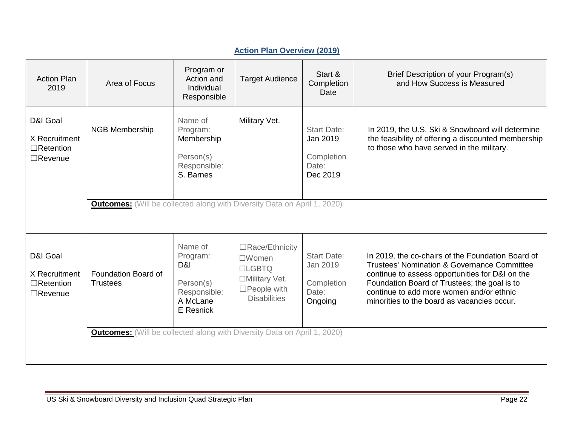| <b>Action Plan</b><br>2019                                      | Area of Focus                                                                                                             | Program or<br>Action and<br>Individual<br>Responsible                            | <b>Target Audience</b>                                                                                          | Start &<br>Completion<br>Date                                     | Brief Description of your Program(s)<br>and How Success is Measured                                                                                                                                                                                                                                       |
|-----------------------------------------------------------------|---------------------------------------------------------------------------------------------------------------------------|----------------------------------------------------------------------------------|-----------------------------------------------------------------------------------------------------------------|-------------------------------------------------------------------|-----------------------------------------------------------------------------------------------------------------------------------------------------------------------------------------------------------------------------------------------------------------------------------------------------------|
| D&I Goal<br>X Recruitment<br>$\Box$ Retention<br>$\Box$ Revenue | <b>NGB Membership</b><br><b>Outcomes:</b> (Will be collected along with Diversity Data on April 1, 2020)                  | Name of<br>Program:<br>Membership<br>Person(s)<br>Responsible:<br>S. Barnes      | Military Vet.                                                                                                   | <b>Start Date:</b><br>Jan 2019<br>Completion<br>Date:<br>Dec 2019 | In 2019, the U.S. Ski & Snowboard will determine<br>the feasibility of offering a discounted membership<br>to those who have served in the military.                                                                                                                                                      |
| D&I Goal<br>X Recruitment<br>$\Box$ Retention<br>$\Box$ Revenue | Foundation Board of<br><b>Trustees</b><br><b>Outcomes:</b> (Will be collected along with Diversity Data on April 1, 2020) | Name of<br>Program:<br>D&I<br>Person(s)<br>Responsible:<br>A McLane<br>E Resnick | □Race/Ethnicity<br>$\square$ Women<br>$LGBTO$<br>□Military Vet.<br>$\square$ People with<br><b>Disabilities</b> | <b>Start Date:</b><br>Jan 2019<br>Completion<br>Date:<br>Ongoing  | In 2019, the co-chairs of the Foundation Board of<br><b>Trustees' Nomination &amp; Governance Committee</b><br>continue to assess opportunities for D&I on the<br>Foundation Board of Trustees; the goal is to<br>continue to add more women and/or ethnic<br>minorities to the board as vacancies occur. |

## **Action Plan Overview (2019)**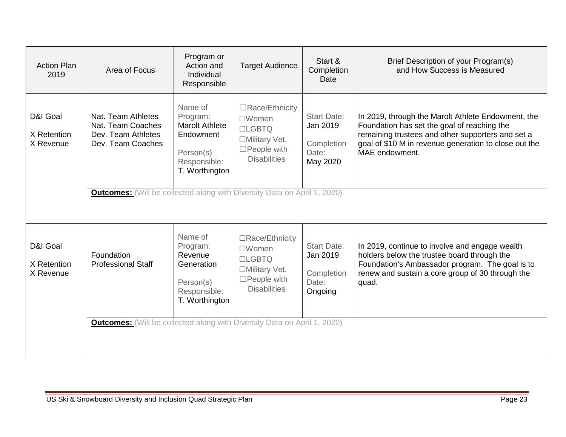| <b>Action Plan</b><br>2019           | Area of Focus                                                                                                              | Program or<br>Action and<br>Individual<br>Responsible                                                    | <b>Target Audience</b>                                                                                          | Start &<br>Completion<br>Date                                     | Brief Description of your Program(s)<br>and How Success is Measured                                                                                                                                                               |
|--------------------------------------|----------------------------------------------------------------------------------------------------------------------------|----------------------------------------------------------------------------------------------------------|-----------------------------------------------------------------------------------------------------------------|-------------------------------------------------------------------|-----------------------------------------------------------------------------------------------------------------------------------------------------------------------------------------------------------------------------------|
| D&I Goal<br>X Retention<br>X Revenue | Nat. Team Athletes<br>Nat. Team Coaches<br>Dev. Team Athletes<br>Dev. Team Coaches                                         | Name of<br>Program:<br><b>Marolt Athlete</b><br>Endowment<br>Person(s)<br>Responsible:<br>T. Worthington | □Race/Ethnicity<br>$\square$ Women<br>$LGBTO$<br>□Military Vet.<br>$\square$ People with<br><b>Disabilities</b> | <b>Start Date:</b><br>Jan 2019<br>Completion<br>Date:<br>May 2020 | In 2019, through the Marolt Athlete Endowment, the<br>Foundation has set the goal of reaching the<br>remaining trustees and other supporters and set a<br>goal of \$10 M in revenue generation to close out the<br>MAE endowment. |
|                                      | <b>Outcomes:</b> (Will be collected along with Diversity Data on April 1, 2020)                                            |                                                                                                          |                                                                                                                 |                                                                   |                                                                                                                                                                                                                                   |
| D&I Goal<br>X Retention<br>X Revenue | Foundation<br><b>Professional Staff</b><br><b>Outcomes:</b> (Will be collected along with Diversity Data on April 1, 2020) | Name of<br>Program:<br>Revenue<br>Generation<br>Person(s)<br>Responsible:<br>T. Worthington              | □Race/Ethnicity<br>$\square$ Women<br>$LGBTO$<br>□Military Vet.<br>$\Box$ People with<br><b>Disabilities</b>    | <b>Start Date:</b><br>Jan 2019<br>Completion<br>Date:<br>Ongoing  | In 2019, continue to involve and engage wealth<br>holders below the trustee board through the<br>Foundation's Ambassador program. The goal is to<br>renew and sustain a core group of 30 through the<br>quad.                     |
|                                      |                                                                                                                            |                                                                                                          |                                                                                                                 |                                                                   |                                                                                                                                                                                                                                   |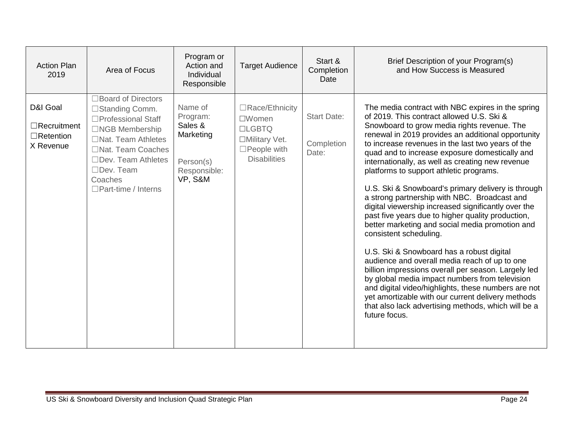| <b>Action Plan</b><br>2019                                      | Area of Focus                                                                                                                                                                                                           | Program or<br>Action and<br>Individual<br>Responsible                               | <b>Target Audience</b>                                                                                                | Start &<br>Completion<br>Date             | Brief Description of your Program(s)<br>and How Success is Measured                                                                                                                                                                                                                                                                                                                                                                                                                                                                                                                                                                                                                                                                                                                                                                                                                                                                                                                                                                                                                                 |
|-----------------------------------------------------------------|-------------------------------------------------------------------------------------------------------------------------------------------------------------------------------------------------------------------------|-------------------------------------------------------------------------------------|-----------------------------------------------------------------------------------------------------------------------|-------------------------------------------|-----------------------------------------------------------------------------------------------------------------------------------------------------------------------------------------------------------------------------------------------------------------------------------------------------------------------------------------------------------------------------------------------------------------------------------------------------------------------------------------------------------------------------------------------------------------------------------------------------------------------------------------------------------------------------------------------------------------------------------------------------------------------------------------------------------------------------------------------------------------------------------------------------------------------------------------------------------------------------------------------------------------------------------------------------------------------------------------------------|
| D&I Goal<br>$\Box$ Recruitment<br>$\Box$ Retention<br>X Revenue | □Board of Directors<br>□Standing Comm.<br>□Professional Staff<br>□NGB Membership<br>$\Box$ Nat. Team Athletes<br>□Nat. Team Coaches<br>□Dev. Team Athletes<br>$\Box$ Dev. Team<br>Coaches<br>$\Box$ Part-time / Interns | Name of<br>Program:<br>Sales &<br>Marketing<br>Person(s)<br>Responsible:<br>VP, S&M | $\Box$ Race/Ethnicity<br>$\square$ Women<br>$LGBTO$<br>□Military Vet.<br>$\square$ People with<br><b>Disabilities</b> | <b>Start Date:</b><br>Completion<br>Date: | The media contract with NBC expires in the spring<br>of 2019. This contract allowed U.S. Ski &<br>Snowboard to grow media rights revenue. The<br>renewal in 2019 provides an additional opportunity<br>to increase revenues in the last two years of the<br>quad and to increase exposure domestically and<br>internationally, as well as creating new revenue<br>platforms to support athletic programs.<br>U.S. Ski & Snowboard's primary delivery is through<br>a strong partnership with NBC. Broadcast and<br>digital viewership increased significantly over the<br>past five years due to higher quality production,<br>better marketing and social media promotion and<br>consistent scheduling.<br>U.S. Ski & Snowboard has a robust digital<br>audience and overall media reach of up to one<br>billion impressions overall per season. Largely led<br>by global media impact numbers from television<br>and digital video/highlights, these numbers are not<br>yet amortizable with our current delivery methods<br>that also lack advertising methods, which will be a<br>future focus. |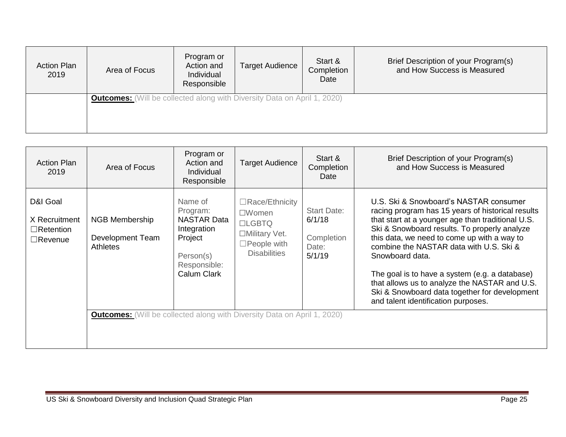| <b>Action Plan</b><br>2019 | Area of Focus                                                                   | Program or<br>Action and<br>Individual<br>Responsible | <b>Target Audience</b> | Start &<br>Completion<br>Date | Brief Description of your Program(s)<br>and How Success is Measured |
|----------------------------|---------------------------------------------------------------------------------|-------------------------------------------------------|------------------------|-------------------------------|---------------------------------------------------------------------|
|                            | <b>Outcomes:</b> (Will be collected along with Diversity Data on April 1, 2020) |                                                       |                        |                               |                                                                     |

| <b>Action Plan</b><br>2019                                      | Area of Focus                                                                                                                                   | Program or<br>Action and<br>Individual<br>Responsible                                                           | <b>Target Audience</b>                                                                                             | Start &<br>Completion<br>Date                                 | Brief Description of your Program(s)<br>and How Success is Measured                                                                                                                                                                                                                                                                                                                                                                                                                                      |
|-----------------------------------------------------------------|-------------------------------------------------------------------------------------------------------------------------------------------------|-----------------------------------------------------------------------------------------------------------------|--------------------------------------------------------------------------------------------------------------------|---------------------------------------------------------------|----------------------------------------------------------------------------------------------------------------------------------------------------------------------------------------------------------------------------------------------------------------------------------------------------------------------------------------------------------------------------------------------------------------------------------------------------------------------------------------------------------|
| D&I Goal<br>X Recruitment<br>$\Box$ Retention<br>$\Box$ Revenue | <b>NGB Membership</b><br>Development Team<br><b>Athletes</b><br><b>Outcomes:</b> (Will be collected along with Diversity Data on April 1, 2020) | Name of<br>Program:<br><b>NASTAR Data</b><br>Integration<br>Project<br>Person(s)<br>Responsible:<br>Calum Clark | $\Box$ Race/Ethnicity<br>$\square$ Women<br>$LGBTO$<br>□Military Vet.<br>$\Box$ People with<br><b>Disabilities</b> | <b>Start Date:</b><br>6/1/18<br>Completion<br>Date:<br>5/1/19 | U.S. Ski & Snowboard's NASTAR consumer<br>racing program has 15 years of historical results<br>that start at a younger age than traditional U.S.<br>Ski & Snowboard results. To properly analyze<br>this data, we need to come up with a way to<br>combine the NASTAR data with U.S. Ski &<br>Snowboard data.<br>The goal is to have a system (e.g. a database)<br>that allows us to analyze the NASTAR and U.S.<br>Ski & Snowboard data together for development<br>and talent identification purposes. |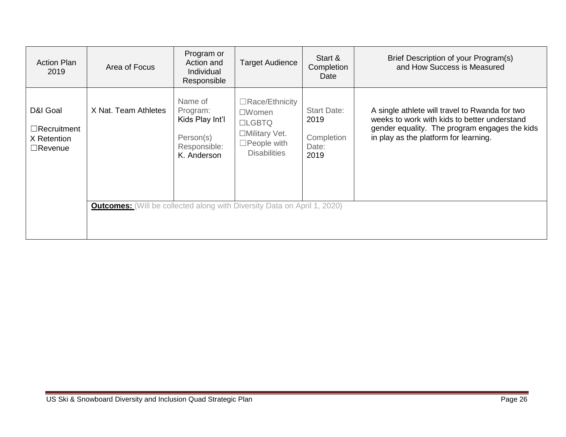| <b>Action Plan</b><br>2019                                      | Area of Focus                                                                                           | Program or<br>Action and<br>Individual<br>Responsible                              | <b>Target Audience</b>                                                                                             | Start &<br>Completion<br>Date                             | Brief Description of your Program(s)<br>and How Success is Measured                                                                                                                      |
|-----------------------------------------------------------------|---------------------------------------------------------------------------------------------------------|------------------------------------------------------------------------------------|--------------------------------------------------------------------------------------------------------------------|-----------------------------------------------------------|------------------------------------------------------------------------------------------------------------------------------------------------------------------------------------------|
| D&I Goal<br>$\Box$ Recruitment<br>X Retention<br>$\Box$ Revenue | X Nat. Team Athletes<br><b>Outcomes:</b> (Will be collected along with Diversity Data on April 1, 2020) | Name of<br>Program:<br>Kids Play Int'l<br>Person(s)<br>Responsible:<br>K. Anderson | $\Box$ Race/Ethnicity<br>$\square$ Women<br>$LGBTQ$<br>□Military Vet.<br>$\Box$ People with<br><b>Disabilities</b> | <b>Start Date:</b><br>2019<br>Completion<br>Date:<br>2019 | A single athlete will travel to Rwanda for two<br>weeks to work with kids to better understand<br>gender equality. The program engages the kids<br>in play as the platform for learning. |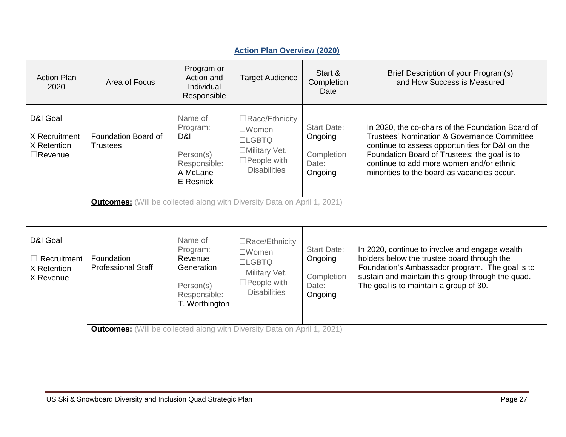| <b>Action Plan</b><br>2020                                 | Area of Focus                                                                                                             | Program or<br>Action and<br>Individual<br>Responsible                                       | <b>Target Audience</b>                                                                                                | Start &<br>Completion<br>Date                                   | Brief Description of your Program(s)<br>and How Success is Measured                                                                                                                                                                                                                                       |
|------------------------------------------------------------|---------------------------------------------------------------------------------------------------------------------------|---------------------------------------------------------------------------------------------|-----------------------------------------------------------------------------------------------------------------------|-----------------------------------------------------------------|-----------------------------------------------------------------------------------------------------------------------------------------------------------------------------------------------------------------------------------------------------------------------------------------------------------|
| D&I Goal<br>X Recruitment<br>X Retention<br>$\Box$ Revenue | Foundation Board of<br><b>Trustees</b><br><b>Outcomes:</b> (Will be collected along with Diversity Data on April 1, 2021) | Name of<br>Program:<br>D&I<br>Person(s)<br>Responsible:<br>A McLane<br>E Resnick            | □Race/Ethnicity<br>$\square$ Women<br><b>LIGBTQ</b><br>□Military Vet.<br>$\square$ People with<br><b>Disabilities</b> | <b>Start Date:</b><br>Ongoing<br>Completion<br>Date:<br>Ongoing | In 2020, the co-chairs of the Foundation Board of<br><b>Trustees' Nomination &amp; Governance Committee</b><br>continue to assess opportunities for D&I on the<br>Foundation Board of Trustees; the goal is to<br>continue to add more women and/or ethnic<br>minorities to the board as vacancies occur. |
| D&I Goal<br>$\Box$ Recruitment<br>X Retention<br>X Revenue | Foundation<br><b>Professional Staff</b>                                                                                   | Name of<br>Program:<br>Revenue<br>Generation<br>Person(s)<br>Responsible:<br>T. Worthington | □Race/Ethnicity<br>$\square$ Women<br><b>LLGBTQ</b><br>□Military Vet.<br>$\square$ People with<br><b>Disabilities</b> | <b>Start Date:</b><br>Ongoing<br>Completion<br>Date:<br>Ongoing | In 2020, continue to involve and engage wealth<br>holders below the trustee board through the<br>Foundation's Ambassador program. The goal is to<br>sustain and maintain this group through the quad.<br>The goal is to maintain a group of 30.                                                           |
|                                                            | <b>Outcomes:</b> (Will be collected along with Diversity Data on April 1, 2021)                                           |                                                                                             |                                                                                                                       |                                                                 |                                                                                                                                                                                                                                                                                                           |

# **Action Plan Overview (2020)**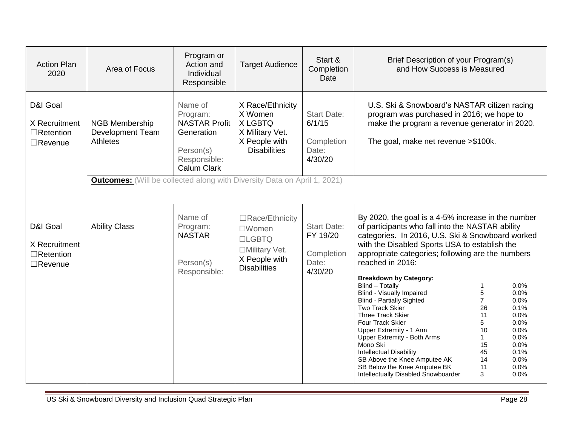| <b>Action Plan</b><br>2020                                      | Area of Focus                                                                                                                                   | Program or<br>Action and<br>Individual<br>Responsible                                                        | <b>Target Audience</b>                                                                                        | Start &<br>Completion<br>Date                                    | Brief Description of your Program(s)<br>and How Success is Measured                                                                                                                                                                                                                                                                                                                                                                                                                                                                                                                                                                                                                                                                                                                                                                                                                                                |  |
|-----------------------------------------------------------------|-------------------------------------------------------------------------------------------------------------------------------------------------|--------------------------------------------------------------------------------------------------------------|---------------------------------------------------------------------------------------------------------------|------------------------------------------------------------------|--------------------------------------------------------------------------------------------------------------------------------------------------------------------------------------------------------------------------------------------------------------------------------------------------------------------------------------------------------------------------------------------------------------------------------------------------------------------------------------------------------------------------------------------------------------------------------------------------------------------------------------------------------------------------------------------------------------------------------------------------------------------------------------------------------------------------------------------------------------------------------------------------------------------|--|
| D&I Goal<br>X Recruitment<br>$\Box$ Retention<br>$\Box$ Revenue | <b>NGB Membership</b><br>Development Team<br><b>Athletes</b><br><b>Outcomes:</b> (Will be collected along with Diversity Data on April 1, 2021) | Name of<br>Program:<br><b>NASTAR Profit</b><br>Generation<br>Person(s)<br>Responsible:<br><b>Calum Clark</b> | X Race/Ethnicity<br>X Women<br>X LGBTQ<br>X Military Vet.<br>X People with<br><b>Disabilities</b>             | <b>Start Date:</b><br>6/1/15<br>Completion<br>Date:<br>4/30/20   | U.S. Ski & Snowboard's NASTAR citizen racing<br>program was purchased in 2016; we hope to<br>make the program a revenue generator in 2020.<br>The goal, make net revenue >\$100k.                                                                                                                                                                                                                                                                                                                                                                                                                                                                                                                                                                                                                                                                                                                                  |  |
| D&I Goal<br>X Recruitment<br>$\Box$ Retention<br>$\Box$ Revenue | <b>Ability Class</b>                                                                                                                            | Name of<br>Program:<br><b>NASTAR</b><br>Person(s)<br>Responsible:                                            | □Race/Ethnicity<br>$\square$ Women<br><b>LLGBTQ</b><br>□Military Vet.<br>X People with<br><b>Disabilities</b> | <b>Start Date:</b><br>FY 19/20<br>Completion<br>Date:<br>4/30/20 | By 2020, the goal is a 4-5% increase in the number<br>of participants who fall into the NASTAR ability<br>categories. In 2016, U.S. Ski & Snowboard worked<br>with the Disabled Sports USA to establish the<br>appropriate categories; following are the numbers<br>reached in 2016:<br><b>Breakdown by Category:</b><br>Blind - Totally<br>0.0%<br>-1<br>5<br><b>Blind - Visually Impaired</b><br>0.0%<br>$\overline{7}$<br><b>Blind - Partially Sighted</b><br>0.0%<br><b>Two Track Skier</b><br>0.1%<br>26<br><b>Three Track Skier</b><br>11<br>0.0%<br>Four Track Skier<br>5<br>0.0%<br>10<br>0.0%<br>Upper Extremity - 1 Arm<br>0.0%<br>Upper Extremity - Both Arms<br>$\mathbf{1}$<br>Mono Ski<br>15<br>0.0%<br>45<br>0.1%<br><b>Intellectual Disability</b><br>SB Above the Knee Amputee AK<br>14<br>0.0%<br>11<br>SB Below the Knee Amputee BK<br>0.0%<br>3<br>Intellectually Disabled Snowboarder<br>0.0% |  |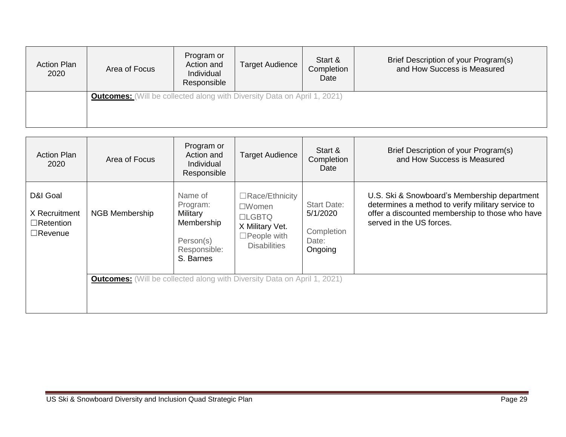| <b>Action Plan</b><br>2020 | Area of Focus                                                                   | Program or<br>Action and<br>Individual<br>Responsible | <b>Target Audience</b> | Start &<br>Completion<br>Date | Brief Description of your Program(s)<br>and How Success is Measured |
|----------------------------|---------------------------------------------------------------------------------|-------------------------------------------------------|------------------------|-------------------------------|---------------------------------------------------------------------|
|                            | <b>Outcomes:</b> (Will be collected along with Diversity Data on April 1, 2021) |                                                       |                        |                               |                                                                     |

| <b>Action Plan</b><br>2020                                      | Area of Focus                                                                   | Program or<br>Action and<br><b>Individual</b><br>Responsible                            | <b>Target Audience</b>                                                                                                 | Start &<br>Completion<br>Date                                    | Brief Description of your Program(s)<br>and How Success is Measured                                                                                                              |
|-----------------------------------------------------------------|---------------------------------------------------------------------------------|-----------------------------------------------------------------------------------------|------------------------------------------------------------------------------------------------------------------------|------------------------------------------------------------------|----------------------------------------------------------------------------------------------------------------------------------------------------------------------------------|
| D&I Goal<br>X Recruitment<br>$\Box$ Retention<br>$\Box$ Revenue | <b>NGB Membership</b>                                                           | Name of<br>Program:<br>Military<br>Membership<br>Person(s)<br>Responsible:<br>S. Barnes | $\Box$ Race/Ethnicity<br>$\square$ Women<br>$LGBTO$<br>X Military Vet.<br>$\square$ People with<br><b>Disabilities</b> | <b>Start Date:</b><br>5/1/2020<br>Completion<br>Date:<br>Ongoing | U.S. Ski & Snowboard's Membership department<br>determines a method to verify military service to<br>offer a discounted membership to those who have<br>served in the US forces. |
|                                                                 | <b>Outcomes:</b> (Will be collected along with Diversity Data on April 1, 2021) |                                                                                         |                                                                                                                        |                                                                  |                                                                                                                                                                                  |